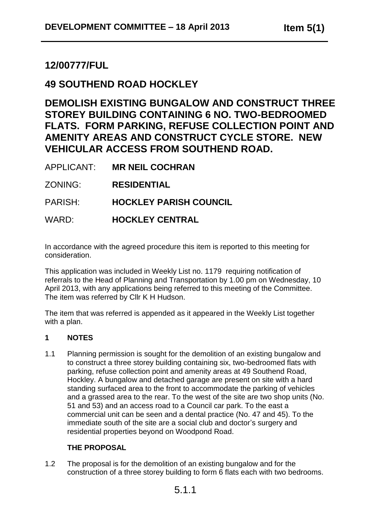# **12/00777/FUL**

# **49 SOUTHEND ROAD HOCKLEY**

**DEMOLISH EXISTING BUNGALOW AND CONSTRUCT THREE STOREY BUILDING CONTAINING 6 NO. TWO-BEDROOMED FLATS. FORM PARKING, REFUSE COLLECTION POINT AND AMENITY AREAS AND CONSTRUCT CYCLE STORE. NEW VEHICULAR ACCESS FROM SOUTHEND ROAD.**

APPLICANT: **MR NEIL COCHRAN**

ZONING: **RESIDENTIAL**

PARISH: **HOCKLEY PARISH COUNCIL**

## WARD: **HOCKLEY CENTRAL**

In accordance with the agreed procedure this item is reported to this meeting for consideration.

This application was included in Weekly List no. 1179 requiring notification of referrals to the Head of Planning and Transportation by 1.00 pm on Wednesday, 10 April 2013, with any applications being referred to this meeting of the Committee. The item was referred by Cllr K H Hudson.

The item that was referred is appended as it appeared in the Weekly List together with a plan.

#### **1 NOTES**

1.1 Planning permission is sought for the demolition of an existing bungalow and to construct a three storey building containing six, two-bedroomed flats with parking, refuse collection point and amenity areas at 49 Southend Road, Hockley. A bungalow and detached garage are present on site with a hard standing surfaced area to the front to accommodate the parking of vehicles and a grassed area to the rear. To the west of the site are two shop units (No. 51 and 53) and an access road to a Council car park. To the east a commercial unit can be seen and a dental practice (No. 47 and 45). To the immediate south of the site are a social club and doctor's surgery and residential properties beyond on Woodpond Road.

## **THE PROPOSAL**

1.2 The proposal is for the demolition of an existing bungalow and for the construction of a three storey building to form 6 flats each with two bedrooms.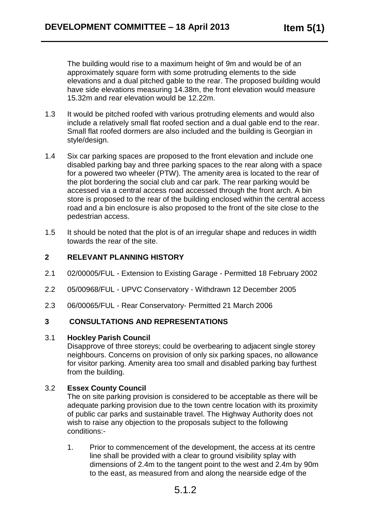The building would rise to a maximum height of 9m and would be of an approximately square form with some protruding elements to the side elevations and a dual pitched gable to the rear. The proposed building would have side elevations measuring 14.38m, the front elevation would measure 15.32m and rear elevation would be 12.22m.

- 1.3 It would be pitched roofed with various protruding elements and would also include a relatively small flat roofed section and a dual gable end to the rear. Small flat roofed dormers are also included and the building is Georgian in style/design.
- 1.4 Six car parking spaces are proposed to the front elevation and include one disabled parking bay and three parking spaces to the rear along with a space for a powered two wheeler (PTW). The amenity area is located to the rear of the plot bordering the social club and car park. The rear parking would be accessed via a central access road accessed through the front arch. A bin store is proposed to the rear of the building enclosed within the central access road and a bin enclosure is also proposed to the front of the site close to the pedestrian access.
- 1.5 It should be noted that the plot is of an irregular shape and reduces in width towards the rear of the site.

#### **2 RELEVANT PLANNING HISTORY**

- 2.1 02/00005/FUL Extension to Existing Garage Permitted 18 February 2002
- 2.2 05/00968/FUL UPVC Conservatory Withdrawn 12 December 2005
- 2.3 06/00065/FUL Rear Conservatory- Permitted 21 March 2006

#### **3 CONSULTATIONS AND REPRESENTATIONS**

#### 3.1 **Hockley Parish Council**

Disapprove of three storeys; could be overbearing to adjacent single storey neighbours. Concerns on provision of only six parking spaces, no allowance for visitor parking. Amenity area too small and disabled parking bay furthest from the building.

#### 3.2 **Essex County Council**

The on site parking provision is considered to be acceptable as there will be adequate parking provision due to the town centre location with its proximity of public car parks and sustainable travel. The Highway Authority does not wish to raise any objection to the proposals subject to the following conditions:-

1. Prior to commencement of the development, the access at its centre line shall be provided with a clear to ground visibility splay with dimensions of 2.4m to the tangent point to the west and 2.4m by 90m to the east, as measured from and along the nearside edge of the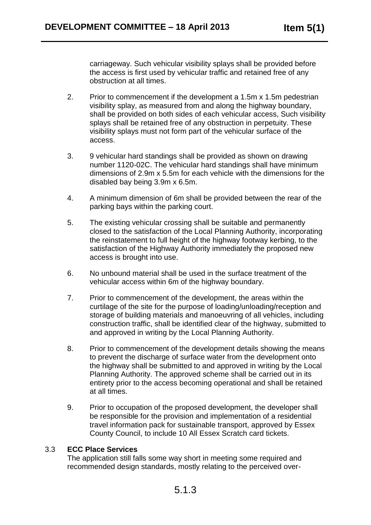carriageway. Such vehicular visibility splays shall be provided before the access is first used by vehicular traffic and retained free of any obstruction at all times.

- 2. Prior to commencement if the development a 1.5m x 1.5m pedestrian visibility splay, as measured from and along the highway boundary, shall be provided on both sides of each vehicular access, Such visibility splays shall be retained free of any obstruction in perpetuity. These visibility splays must not form part of the vehicular surface of the access.
- 3. 9 vehicular hard standings shall be provided as shown on drawing number 1120-02C. The vehicular hard standings shall have minimum dimensions of 2.9m x 5.5m for each vehicle with the dimensions for the disabled bay being 3.9m x 6.5m.
- 4. A minimum dimension of 6m shall be provided between the rear of the parking bays within the parking court.
- 5. The existing vehicular crossing shall be suitable and permanently closed to the satisfaction of the Local Planning Authority, incorporating the reinstatement to full height of the highway footway kerbing, to the satisfaction of the Highway Authority immediately the proposed new access is brought into use.
- 6. No unbound material shall be used in the surface treatment of the vehicular access within 6m of the highway boundary.
- 7. Prior to commencement of the development, the areas within the curtilage of the site for the purpose of loading/unloading/reception and storage of building materials and manoeuvring of all vehicles, including construction traffic, shall be identified clear of the highway, submitted to and approved in writing by the Local Planning Authority.
- 8. Prior to commencement of the development details showing the means to prevent the discharge of surface water from the development onto the highway shall be submitted to and approved in writing by the Local Planning Authority. The approved scheme shall be carried out in its entirety prior to the access becoming operational and shall be retained at all times.
- 9. Prior to occupation of the proposed development, the developer shall be responsible for the provision and implementation of a residential travel information pack for sustainable transport, approved by Essex County Council, to include 10 All Essex Scratch card tickets.

#### 3.3 **ECC Place Services**

The application still falls some way short in meeting some required and recommended design standards, mostly relating to the perceived over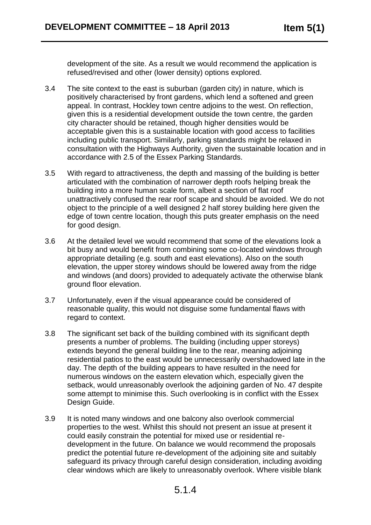development of the site. As a result we would recommend the application is refused/revised and other (lower density) options explored.

- 3.4 The site context to the east is suburban (garden city) in nature, which is positively characterised by front gardens, which lend a softened and green appeal. In contrast, Hockley town centre adjoins to the west. On reflection, given this is a residential development outside the town centre, the garden city character should be retained, though higher densities would be acceptable given this is a sustainable location with good access to facilities including public transport. Similarly, parking standards might be relaxed in consultation with the Highways Authority, given the sustainable location and in accordance with 2.5 of the Essex Parking Standards.
- 3.5 With regard to attractiveness, the depth and massing of the building is better articulated with the combination of narrower depth roofs helping break the building into a more human scale form, albeit a section of flat roof unattractively confused the rear roof scape and should be avoided. We do not object to the principle of a well designed 2 half storey building here given the edge of town centre location, though this puts greater emphasis on the need for good design.
- 3.6 At the detailed level we would recommend that some of the elevations look a bit busy and would benefit from combining some co-located windows through appropriate detailing (e.g. south and east elevations). Also on the south elevation, the upper storey windows should be lowered away from the ridge and windows (and doors) provided to adequately activate the otherwise blank ground floor elevation.
- 3.7 Unfortunately, even if the visual appearance could be considered of reasonable quality, this would not disguise some fundamental flaws with regard to context.
- 3.8 The significant set back of the building combined with its significant depth presents a number of problems. The building (including upper storeys) extends beyond the general building line to the rear, meaning adjoining residential patios to the east would be unnecessarily overshadowed late in the day. The depth of the building appears to have resulted in the need for numerous windows on the eastern elevation which, especially given the setback, would unreasonably overlook the adjoining garden of No. 47 despite some attempt to minimise this. Such overlooking is in conflict with the Essex Design Guide.
- 3.9 It is noted many windows and one balcony also overlook commercial properties to the west. Whilst this should not present an issue at present it could easily constrain the potential for mixed use or residential redevelopment in the future. On balance we would recommend the proposals predict the potential future re-development of the adjoining site and suitably safeguard its privacy through careful design consideration, including avoiding clear windows which are likely to unreasonably overlook. Where visible blank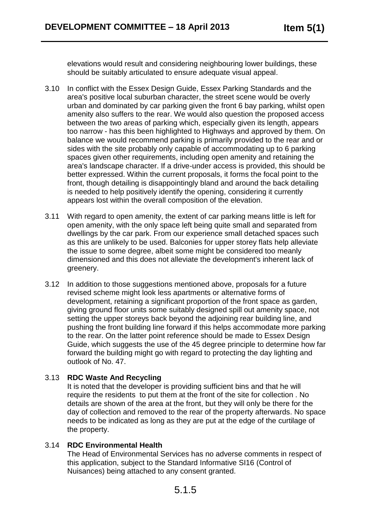elevations would result and considering neighbouring lower buildings, these should be suitably articulated to ensure adequate visual appeal.

- 3.10 In conflict with the Essex Design Guide, Essex Parking Standards and the area's positive local suburban character, the street scene would be overly urban and dominated by car parking given the front 6 bay parking, whilst open amenity also suffers to the rear. We would also question the proposed access between the two areas of parking which, especially given its length, appears too narrow - has this been highlighted to Highways and approved by them. On balance we would recommend parking is primarily provided to the rear and or sides with the site probably only capable of accommodating up to 6 parking spaces given other requirements, including open amenity and retaining the area's landscape character. If a drive-under access is provided, this should be better expressed. Within the current proposals, it forms the focal point to the front, though detailing is disappointingly bland and around the back detailing is needed to help positively identify the opening, considering it currently appears lost within the overall composition of the elevation.
- 3.11 With regard to open amenity, the extent of car parking means little is left for open amenity, with the only space left being quite small and separated from dwellings by the car park. From our experience small detached spaces such as this are unlikely to be used. Balconies for upper storey flats help alleviate the issue to some degree, albeit some might be considered too meanly dimensioned and this does not alleviate the development's inherent lack of greenery.
- 3.12 In addition to those suggestions mentioned above, proposals for a future revised scheme might look less apartments or alternative forms of development, retaining a significant proportion of the front space as garden, giving ground floor units some suitably designed spill out amenity space, not setting the upper storeys back beyond the adjoining rear building line, and pushing the front building line forward if this helps accommodate more parking to the rear. On the latter point reference should be made to Essex Design Guide, which suggests the use of the 45 degree principle to determine how far forward the building might go with regard to protecting the day lighting and outlook of No. 47.

#### 3.13 **RDC Waste And Recycling**

It is noted that the developer is providing sufficient bins and that he will require the residents to put them at the front of the site for collection . No details are shown of the area at the front, but they will only be there for the day of collection and removed to the rear of the property afterwards. No space needs to be indicated as long as they are put at the edge of the curtilage of the property.

#### 3.14 **RDC Environmental Health**

The Head of Environmental Services has no adverse comments in respect of this application, subject to the Standard Informative SI16 (Control of Nuisances) being attached to any consent granted.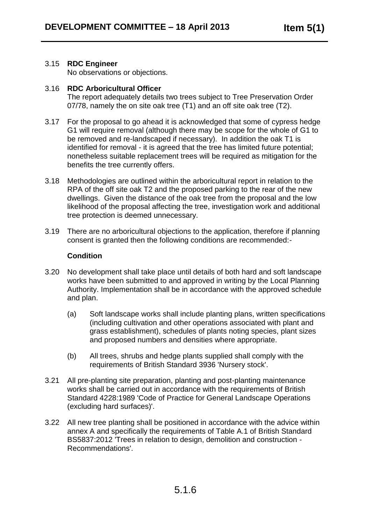#### 3.15 **RDC Engineer**

No observations or objections.

#### 3.16 **RDC Arboricultural Officer**

The report adequately details two trees subject to Tree Preservation Order 07/78, namely the on site oak tree (T1) and an off site oak tree (T2).

- 3.17 For the proposal to go ahead it is acknowledged that some of cypress hedge G1 will require removal (although there may be scope for the whole of G1 to be removed and re-landscaped if necessary). In addition the oak T1 is identified for removal - it is agreed that the tree has limited future potential; nonetheless suitable replacement trees will be required as mitigation for the benefits the tree currently offers.
- 3.18 Methodologies are outlined within the arboricultural report in relation to the RPA of the off site oak T2 and the proposed parking to the rear of the new dwellings. Given the distance of the oak tree from the proposal and the low likelihood of the proposal affecting the tree, investigation work and additional tree protection is deemed unnecessary.
- 3.19 There are no arboricultural objections to the application, therefore if planning consent is granted then the following conditions are recommended:-

#### **Condition**

- 3.20 No development shall take place until details of both hard and soft landscape works have been submitted to and approved in writing by the Local Planning Authority. Implementation shall be in accordance with the approved schedule and plan.
	- (a) Soft landscape works shall include planting plans, written specifications (including cultivation and other operations associated with plant and grass establishment), schedules of plants noting species, plant sizes and proposed numbers and densities where appropriate.
	- (b) All trees, shrubs and hedge plants supplied shall comply with the requirements of British Standard 3936 'Nursery stock'.
- 3.21 All pre-planting site preparation, planting and post-planting maintenance works shall be carried out in accordance with the requirements of British Standard 4228:1989 'Code of Practice for General Landscape Operations (excluding hard surfaces)'.
- 3.22 All new tree planting shall be positioned in accordance with the advice within annex A and specifically the requirements of Table A.1 of British Standard BS5837:2012 'Trees in relation to design, demolition and construction - Recommendations'.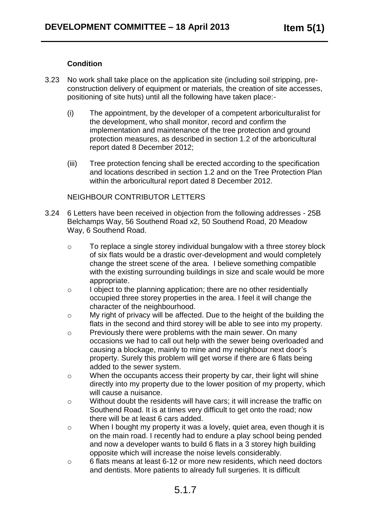#### **Condition**

- 3.23 No work shall take place on the application site (including soil stripping, preconstruction delivery of equipment or materials, the creation of site accesses, positioning of site huts) until all the following have taken place:-
	- (i) The appointment, by the developer of a competent arboriculturalist for the development, who shall monitor, record and confirm the implementation and maintenance of the tree protection and ground protection measures, as described in section 1.2 of the arboricultural report dated 8 December 2012;
	- (iii) Tree protection fencing shall be erected according to the specification and locations described in section 1.2 and on the Tree Protection Plan within the arboricultural report dated 8 December 2012.

#### NEIGHBOUR CONTRIBUTOR LETTERS

- 3.24 6 Letters have been received in objection from the following addresses 25B Belchamps Way, 56 Southend Road x2, 50 Southend Road, 20 Meadow Way, 6 Southend Road.
	- o To replace a single storey individual bungalow with a three storey block of six flats would be a drastic over-development and would completely change the street scene of the area. I believe something compatible with the existing surrounding buildings in size and scale would be more appropriate.
	- o I object to the planning application; there are no other residentially occupied three storey properties in the area. I feel it will change the character of the neighbourhood.
	- o My right of privacy will be affected. Due to the height of the building the flats in the second and third storey will be able to see into my property.
	- o Previously there were problems with the main sewer. On many occasions we had to call out help with the sewer being overloaded and causing a blockage, mainly to mine and my neighbour next door's property. Surely this problem will get worse if there are 6 flats being added to the sewer system.
	- o When the occupants access their property by car, their light will shine directly into my property due to the lower position of my property, which will cause a nuisance.
	- o Without doubt the residents will have cars; it will increase the traffic on Southend Road. It is at times very difficult to get onto the road; now there will be at least 6 cars added.
	- o When I bought my property it was a lovely, quiet area, even though it is on the main road. I recently had to endure a play school being pended and now a developer wants to build 6 flats in a 3 storey high building opposite which will increase the noise levels considerably.
	- o 6 flats means at least 6-12 or more new residents, which need doctors and dentists. More patients to already full surgeries. It is difficult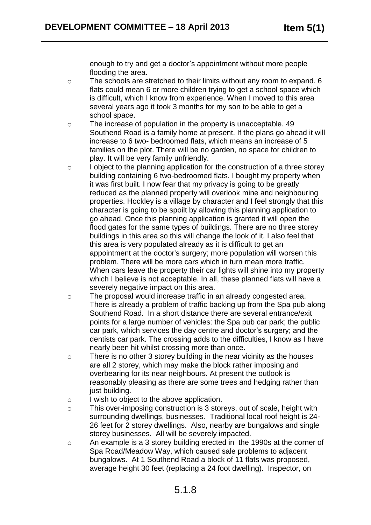enough to try and get a doctor's appointment without more people flooding the area.

- o The schools are stretched to their limits without any room to expand. 6 flats could mean 6 or more children trying to get a school space which is difficult, which I know from experience. When I moved to this area several years ago it took 3 months for my son to be able to get a school space.
- o The increase of population in the property is unacceptable. 49 Southend Road is a family home at present. If the plans go ahead it will increase to 6 two- bedroomed flats, which means an increase of 5 families on the plot. There will be no garden, no space for children to play. It will be very family unfriendly.
- o I object to the planning application for the construction of a three storey building containing 6 two-bedroomed flats. I bought my property when it was first built. I now fear that my privacy is going to be greatly reduced as the planned property will overlook mine and neighbouring properties. Hockley is a village by character and I feel strongly that this character is going to be spoilt by allowing this planning application to go ahead. Once this planning application is granted it will open the flood gates for the same types of buildings. There are no three storey buildings in this area so this will change the look of it. I also feel that this area is very populated already as it is difficult to get an appointment at the doctor's surgery; more population will worsen this problem. There will be more cars which in turn mean more traffic. When cars leave the property their car lights will shine into my property which I believe is not acceptable. In all, these planned flats will have a severely negative impact on this area.
- o The proposal would increase traffic in an already congested area. There is already a problem of traffic backing up from the Spa pub along Southend Road. In a short distance there are several entrance/exit points for a large number of vehicles: the Spa pub car park; the public car park, which services the day centre and doctor's surgery; and the dentists car park. The crossing adds to the difficulties, I know as I have nearly been hit whilst crossing more than once.
- o There is no other 3 storey building in the near vicinity as the houses are all 2 storey, which may make the block rather imposing and overbearing for its near neighbours. At present the outlook is reasonably pleasing as there are some trees and hedging rather than just building.
- o I wish to object to the above application.
- o This over-imposing construction is 3 storeys, out of scale, height with surrounding dwellings, businesses. Traditional local roof height is 24- 26 feet for 2 storey dwellings. Also, nearby are bungalows and single storey businesses. All will be severely impacted.
- o An example is a 3 storey building erected in the 1990s at the corner of Spa Road/Meadow Way, which caused sale problems to adjacent bungalows. At 1 Southend Road a block of 11 flats was proposed, average height 30 feet (replacing a 24 foot dwelling). Inspector, on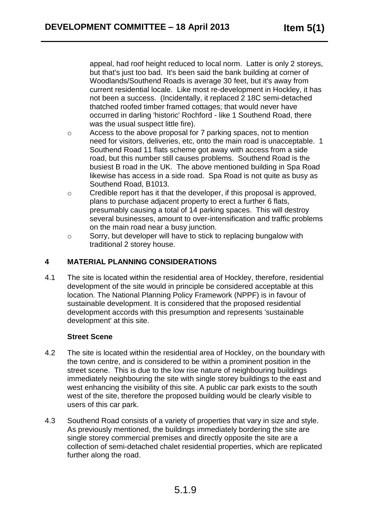appeal, had roof height reduced to local norm. Latter is only 2 storeys, but that's just too bad. It's been said the bank building at corner of Woodlands/Southend Roads is average 30 feet, but it's away from current residential locale. Like most re-development in Hockley, it has not been a success. (Incidentally, it replaced 2 18C semi-detached thatched roofed timber framed cottages; that would never have occurred in darling 'historic' Rochford - like 1 Southend Road, there was the usual suspect little fire).

- o Access to the above proposal for 7 parking spaces, not to mention need for visitors, deliveries, etc, onto the main road is unacceptable. 1 Southend Road 11 flats scheme got away with access from a side road, but this number still causes problems. Southend Road is the busiest B road in the UK. The above mentioned building in Spa Road likewise has access in a side road. Spa Road is not quite as busy as Southend Road, B1013.
- o Credible report has it that the developer, if this proposal is approved, plans to purchase adjacent property to erect a further 6 flats, presumably causing a total of 14 parking spaces. This will destroy several businesses, amount to over-intensification and traffic problems on the main road near a busy junction.
- o Sorry, but developer will have to stick to replacing bungalow with traditional 2 storey house.

### **4 MATERIAL PLANNING CONSIDERATIONS**

4.1 The site is located within the residential area of Hockley, therefore, residential development of the site would in principle be considered acceptable at this location. The National Planning Policy Framework (NPPF) is in favour of sustainable development. It is considered that the proposed residential development accords with this presumption and represents 'sustainable development' at this site.

#### **Street Scene**

- 4.2 The site is located within the residential area of Hockley, on the boundary with the town centre, and is considered to be within a prominent position in the street scene. This is due to the low rise nature of neighbouring buildings immediately neighbouring the site with single storey buildings to the east and west enhancing the visibility of this site. A public car park exists to the south west of the site, therefore the proposed building would be clearly visible to users of this car park.
- 4.3 Southend Road consists of a variety of properties that vary in size and style. As previously mentioned, the buildings immediately bordering the site are single storey commercial premises and directly opposite the site are a collection of semi-detached chalet residential properties, which are replicated further along the road.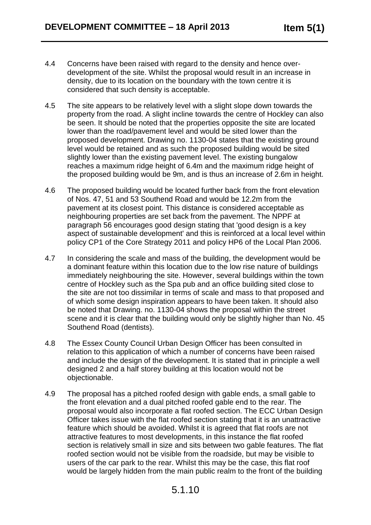- 4.4 Concerns have been raised with regard to the density and hence overdevelopment of the site. Whilst the proposal would result in an increase in density, due to its location on the boundary with the town centre it is considered that such density is acceptable.
- 4.5 The site appears to be relatively level with a slight slope down towards the property from the road. A slight incline towards the centre of Hockley can also be seen. It should be noted that the properties opposite the site are located lower than the road/pavement level and would be sited lower than the proposed development. Drawing no. 1130-04 states that the existing ground level would be retained and as such the proposed building would be sited slightly lower than the existing pavement level. The existing bungalow reaches a maximum ridge height of 6.4m and the maximum ridge height of the proposed building would be 9m, and is thus an increase of 2.6m in height.
- 4.6 The proposed building would be located further back from the front elevation of Nos. 47, 51 and 53 Southend Road and would be 12.2m from the pavement at its closest point. This distance is considered acceptable as neighbouring properties are set back from the pavement. The NPPF at paragraph 56 encourages good design stating that 'good design is a key aspect of sustainable development' and this is reinforced at a local level within policy CP1 of the Core Strategy 2011 and policy HP6 of the Local Plan 2006.
- 4.7 In considering the scale and mass of the building, the development would be a dominant feature within this location due to the low rise nature of buildings immediately neighbouring the site. However, several buildings within the town centre of Hockley such as the Spa pub and an office building sited close to the site are not too dissimilar in terms of scale and mass to that proposed and of which some design inspiration appears to have been taken. It should also be noted that Drawing. no. 1130-04 shows the proposal within the street scene and it is clear that the building would only be slightly higher than No. 45 Southend Road (dentists).
- 4.8 The Essex County Council Urban Design Officer has been consulted in relation to this application of which a number of concerns have been raised and include the design of the development. It is stated that in principle a well designed 2 and a half storey building at this location would not be objectionable.
- 4.9 The proposal has a pitched roofed design with gable ends, a small gable to the front elevation and a dual pitched roofed gable end to the rear. The proposal would also incorporate a flat roofed section. The ECC Urban Design Officer takes issue with the flat roofed section stating that it is an unattractive feature which should be avoided. Whilst it is agreed that flat roofs are not attractive features to most developments, in this instance the flat roofed section is relatively small in size and sits between two gable features. The flat roofed section would not be visible from the roadside, but may be visible to users of the car park to the rear. Whilst this may be the case, this flat roof would be largely hidden from the main public realm to the front of the building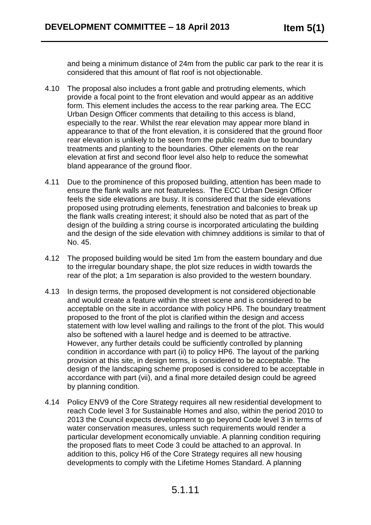and being a minimum distance of 24m from the public car park to the rear it is considered that this amount of flat roof is not objectionable.

- 4.10 The proposal also includes a front gable and protruding elements, which provide a focal point to the front elevation and would appear as an additive form. This element includes the access to the rear parking area. The ECC Urban Design Officer comments that detailing to this access is bland, especially to the rear. Whilst the rear elevation may appear more bland in appearance to that of the front elevation, it is considered that the ground floor rear elevation is unlikely to be seen from the public realm due to boundary treatments and planting to the boundaries. Other elements on the rear elevation at first and second floor level also help to reduce the somewhat bland appearance of the ground floor.
- 4.11 Due to the prominence of this proposed building, attention has been made to ensure the flank walls are not featureless. The ECC Urban Design Officer feels the side elevations are busy. It is considered that the side elevations proposed using protruding elements, fenestration and balconies to break up the flank walls creating interest; it should also be noted that as part of the design of the building a string course is incorporated articulating the building and the design of the side elevation with chimney additions is similar to that of No. 45.
- 4.12 The proposed building would be sited 1m from the eastern boundary and due to the irregular boundary shape, the plot size reduces in width towards the rear of the plot; a 1m separation is also provided to the western boundary.
- 4.13 In design terms, the proposed development is not considered objectionable and would create a feature within the street scene and is considered to be acceptable on the site in accordance with policy HP6. The boundary treatment proposed to the front of the plot is clarified within the design and access statement with low level walling and railings to the front of the plot. This would also be softened with a laurel hedge and is deemed to be attractive. However, any further details could be sufficiently controlled by planning condition in accordance with part (ii) to policy HP6. The layout of the parking provision at this site, in design terms, is considered to be acceptable. The design of the landscaping scheme proposed is considered to be acceptable in accordance with part (vii), and a final more detailed design could be agreed by planning condition.
- 4.14 Policy ENV9 of the Core Strategy requires all new residential development to reach Code level 3 for Sustainable Homes and also, within the period 2010 to 2013 the Council expects development to go beyond Code level 3 in terms of water conservation measures, unless such requirements would render a particular development economically unviable. A planning condition requiring the proposed flats to meet Code 3 could be attached to an approval. In addition to this, policy H6 of the Core Strategy requires all new housing developments to comply with the Lifetime Homes Standard. A planning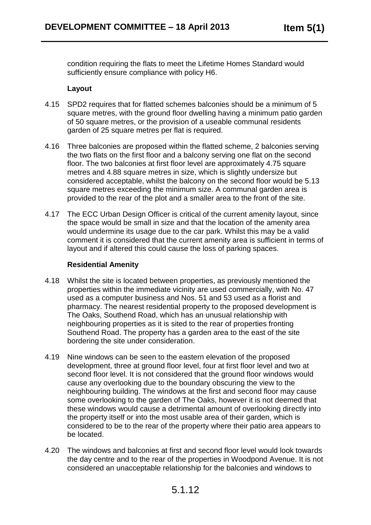condition requiring the flats to meet the Lifetime Homes Standard would sufficiently ensure compliance with policy H6.

#### **Layout**

- 4.15 SPD2 requires that for flatted schemes balconies should be a minimum of 5 square metres, with the ground floor dwelling having a minimum patio garden of 50 square metres, or the provision of a useable communal residents garden of 25 square metres per flat is required.
- 4.16 Three balconies are proposed within the flatted scheme, 2 balconies serving the two flats on the first floor and a balcony serving one flat on the second floor. The two balconies at first floor level are approximately 4.75 square metres and 4.88 square metres in size, which is slightly undersize but considered acceptable, whilst the balcony on the second floor would be 5.13 square metres exceeding the minimum size. A communal garden area is provided to the rear of the plot and a smaller area to the front of the site.
- 4.17 The ECC Urban Design Officer is critical of the current amenity layout, since the space would be small in size and that the location of the amenity area would undermine its usage due to the car park. Whilst this may be a valid comment it is considered that the current amenity area is sufficient in terms of layout and if altered this could cause the loss of parking spaces.

#### **Residential Amenity**

- 4.18 Whilst the site is located between properties, as previously mentioned the properties within the immediate vicinity are used commercially, with No. 47 used as a computer business and Nos. 51 and 53 used as a florist and pharmacy. The nearest residential property to the proposed development is The Oaks, Southend Road, which has an unusual relationship with neighbouring properties as it is sited to the rear of properties fronting Southend Road. The property has a garden area to the east of the site bordering the site under consideration.
- 4.19 Nine windows can be seen to the eastern elevation of the proposed development, three at ground floor level, four at first floor level and two at second floor level. It is not considered that the ground floor windows would cause any overlooking due to the boundary obscuring the view to the neighbouring building. The windows at the first and second floor may cause some overlooking to the garden of The Oaks, however it is not deemed that these windows would cause a detrimental amount of overlooking directly into the property itself or into the most usable area of their garden, which is considered to be to the rear of the property where their patio area appears to be located.
- 4.20 The windows and balconies at first and second floor level would look towards the day centre and to the rear of the properties in Woodpond Avenue. It is not considered an unacceptable relationship for the balconies and windows to

# 5.1.12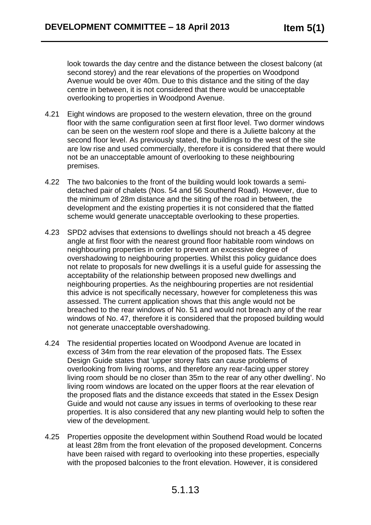look towards the day centre and the distance between the closest balcony (at second storey) and the rear elevations of the properties on Woodpond Avenue would be over 40m. Due to this distance and the siting of the day centre in between, it is not considered that there would be unacceptable overlooking to properties in Woodpond Avenue.

- 4.21 Eight windows are proposed to the western elevation, three on the ground floor with the same configuration seen at first floor level. Two dormer windows can be seen on the western roof slope and there is a Juliette balcony at the second floor level. As previously stated, the buildings to the west of the site are low rise and used commercially, therefore it is considered that there would not be an unacceptable amount of overlooking to these neighbouring premises.
- 4.22 The two balconies to the front of the building would look towards a semidetached pair of chalets (Nos. 54 and 56 Southend Road). However, due to the minimum of 28m distance and the siting of the road in between, the development and the existing properties it is not considered that the flatted scheme would generate unacceptable overlooking to these properties.
- 4.23 SPD2 advises that extensions to dwellings should not breach a 45 degree angle at first floor with the nearest ground floor habitable room windows on neighbouring properties in order to prevent an excessive degree of overshadowing to neighbouring properties. Whilst this policy guidance does not relate to proposals for new dwellings it is a useful guide for assessing the acceptability of the relationship between proposed new dwellings and neighbouring properties. As the neighbouring properties are not residential this advice is not specifically necessary, however for completeness this was assessed. The current application shows that this angle would not be breached to the rear windows of No. 51 and would not breach any of the rear windows of No. 47, therefore it is considered that the proposed building would not generate unacceptable overshadowing.
- 4.24 The residential properties located on Woodpond Avenue are located in excess of 34m from the rear elevation of the proposed flats. The Essex Design Guide states that 'upper storey flats can cause problems of overlooking from living rooms, and therefore any rear-facing upper storey living room should be no closer than 35m to the rear of any other dwelling'. No living room windows are located on the upper floors at the rear elevation of the proposed flats and the distance exceeds that stated in the Essex Design Guide and would not cause any issues in terms of overlooking to these rear properties. It is also considered that any new planting would help to soften the view of the development.
- 4.25 Properties opposite the development within Southend Road would be located at least 28m from the front elevation of the proposed development. Concerns have been raised with regard to overlooking into these properties, especially with the proposed balconies to the front elevation. However, it is considered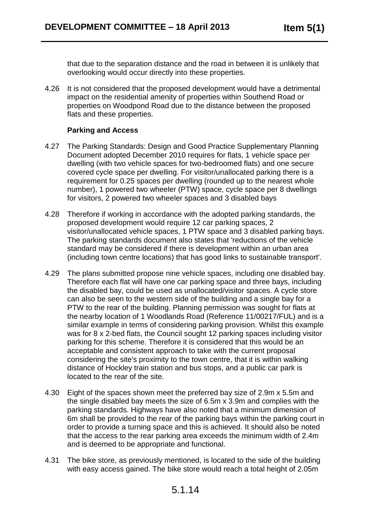that due to the separation distance and the road in between it is unlikely that overlooking would occur directly into these properties.

4.26 It is not considered that the proposed development would have a detrimental impact on the residential amenity of properties within Southend Road or properties on Woodpond Road due to the distance between the proposed flats and these properties.

#### **Parking and Access**

- 4.27 The Parking Standards: Design and Good Practice Supplementary Planning Document adopted December 2010 requires for flats, 1 vehicle space per dwelling (with two vehicle spaces for two-bedroomed flats) and one secure covered cycle space per dwelling. For visitor/unallocated parking there is a requirement for 0.25 spaces per dwelling (rounded up to the nearest whole number), 1 powered two wheeler (PTW) space, cycle space per 8 dwellings for visitors, 2 powered two wheeler spaces and 3 disabled bays
- 4.28 Therefore if working in accordance with the adopted parking standards, the proposed development would require 12 car parking spaces, 2 visitor/unallocated vehicle spaces, 1 PTW space and 3 disabled parking bays. The parking standards document also states that 'reductions of the vehicle standard may be considered if there is development within an urban area (including town centre locations) that has good links to sustainable transport'.
- 4.29 The plans submitted propose nine vehicle spaces, including one disabled bay. Therefore each flat will have one car parking space and three bays, including the disabled bay, could be used as unallocated/visitor spaces. A cycle store can also be seen to the western side of the building and a single bay for a PTW to the rear of the building. Planning permission was sought for flats at the nearby location of 1 Woodlands Road (Reference 11/00217/FUL) and is a similar example in terms of considering parking provision. Whilst this example was for 8 x 2-bed flats, the Council sought 12 parking spaces including visitor parking for this scheme. Therefore it is considered that this would be an acceptable and consistent approach to take with the current proposal considering the site's proximity to the town centre, that it is within walking distance of Hockley train station and bus stops, and a public car park is located to the rear of the site.
- 4.30 Eight of the spaces shown meet the preferred bay size of 2.9m x 5.5m and the single disabled bay meets the size of 6.5m x 3.9m and complies with the parking standards. Highways have also noted that a minimum dimension of 6m shall be provided to the rear of the parking bays within the parking court in order to provide a turning space and this is achieved. It should also be noted that the access to the rear parking area exceeds the minimum width of 2.4m and is deemed to be appropriate and functional.
- 4.31 The bike store, as previously mentioned, is located to the side of the building with easy access gained. The bike store would reach a total height of 2.05m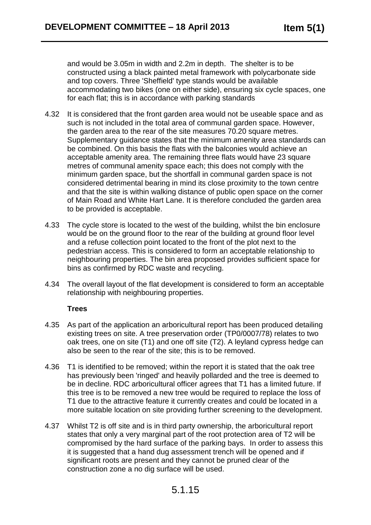and would be 3.05m in width and 2.2m in depth. The shelter is to be constructed using a black painted metal framework with polycarbonate side and top covers. Three 'Sheffield' type stands would be available accommodating two bikes (one on either side), ensuring six cycle spaces, one for each flat; this is in accordance with parking standards

- 4.32 It is considered that the front garden area would not be useable space and as such is not included in the total area of communal garden space. However, the garden area to the rear of the site measures 70.20 square metres. Supplementary guidance states that the minimum amenity area standards can be combined. On this basis the flats with the balconies would achieve an acceptable amenity area. The remaining three flats would have 23 square metres of communal amenity space each; this does not comply with the minimum garden space, but the shortfall in communal garden space is not considered detrimental bearing in mind its close proximity to the town centre and that the site is within walking distance of public open space on the corner of Main Road and White Hart Lane. It is therefore concluded the garden area to be provided is acceptable.
- 4.33 The cycle store is located to the west of the building, whilst the bin enclosure would be on the ground floor to the rear of the building at ground floor level and a refuse collection point located to the front of the plot next to the pedestrian access. This is considered to form an acceptable relationship to neighbouring properties. The bin area proposed provides sufficient space for bins as confirmed by RDC waste and recycling.
- 4.34 The overall layout of the flat development is considered to form an acceptable relationship with neighbouring properties.

#### **Trees**

- 4.35 As part of the application an arboricultural report has been produced detailing existing trees on site. A tree preservation order (TP0/0007/78) relates to two oak trees, one on site (T1) and one off site (T2). A leyland cypress hedge can also be seen to the rear of the site; this is to be removed.
- 4.36 T1 is identified to be removed; within the report it is stated that the oak tree has previously been 'ringed' and heavily pollarded and the tree is deemed to be in decline. RDC arboricultural officer agrees that T1 has a limited future. If this tree is to be removed a new tree would be required to replace the loss of T1 due to the attractive feature it currently creates and could be located in a more suitable location on site providing further screening to the development.
- 4.37 Whilst T2 is off site and is in third party ownership, the arboricultural report states that only a very marginal part of the root protection area of T2 will be compromised by the hard surface of the parking bays. In order to assess this it is suggested that a hand dug assessment trench will be opened and if significant roots are present and they cannot be pruned clear of the construction zone a no dig surface will be used.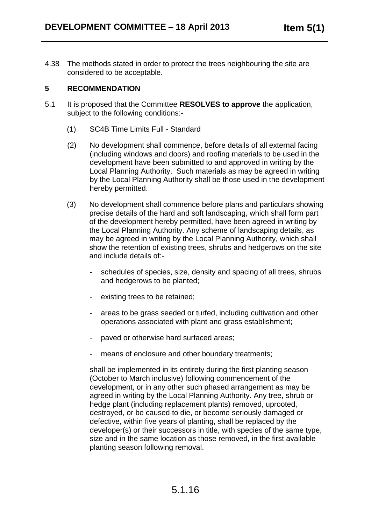4.38 The methods stated in order to protect the trees neighbouring the site are considered to be acceptable.

#### **5 RECOMMENDATION**

- 5.1 It is proposed that the Committee **RESOLVES to approve** the application, subject to the following conditions:-
	- (1) SC4B Time Limits Full Standard
	- (2) No development shall commence, before details of all external facing (including windows and doors) and roofing materials to be used in the development have been submitted to and approved in writing by the Local Planning Authority. Such materials as may be agreed in writing by the Local Planning Authority shall be those used in the development hereby permitted.
	- (3) No development shall commence before plans and particulars showing precise details of the hard and soft landscaping, which shall form part of the development hereby permitted, have been agreed in writing by the Local Planning Authority. Any scheme of landscaping details, as may be agreed in writing by the Local Planning Authority, which shall show the retention of existing trees, shrubs and hedgerows on the site and include details of:
		- schedules of species, size, density and spacing of all trees, shrubs and hedgerows to be planted;
		- existing trees to be retained;
		- areas to be grass seeded or turfed, including cultivation and other operations associated with plant and grass establishment;
		- paved or otherwise hard surfaced areas;
		- means of enclosure and other boundary treatments;

shall be implemented in its entirety during the first planting season (October to March inclusive) following commencement of the development, or in any other such phased arrangement as may be agreed in writing by the Local Planning Authority. Any tree, shrub or hedge plant (including replacement plants) removed, uprooted, destroyed, or be caused to die, or become seriously damaged or defective, within five years of planting, shall be replaced by the developer(s) or their successors in title, with species of the same type, size and in the same location as those removed, in the first available planting season following removal.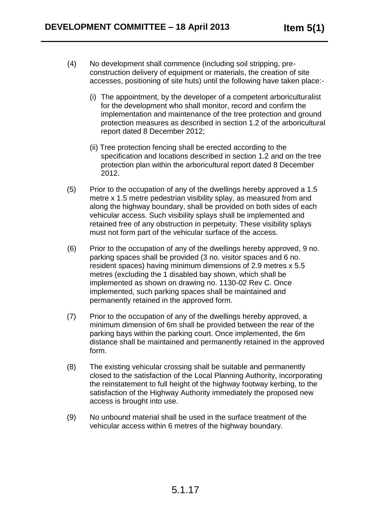- (4) No development shall commence (including soil stripping, preconstruction delivery of equipment or materials, the creation of site accesses, positioning of site huts) until the following have taken place:-
	- (i) The appointment, by the developer of a competent arboriculturalist for the development who shall monitor, record and confirm the implementation and maintenance of the tree protection and ground protection measures as described in section 1.2 of the arboricultural report dated 8 December 2012;
	- (ii) Tree protection fencing shall be erected according to the specification and locations described in section 1.2 and on the tree protection plan within the arboricultural report dated 8 December 2012.
- (5) Prior to the occupation of any of the dwellings hereby approved a 1.5 metre x 1.5 metre pedestrian visibility splay, as measured from and along the highway boundary, shall be provided on both sides of each vehicular access. Such visibility splays shall be implemented and retained free of any obstruction in perpetuity. These visibility splays must not form part of the vehicular surface of the access.
- (6) Prior to the occupation of any of the dwellings hereby approved, 9 no. parking spaces shall be provided (3 no. visitor spaces and 6 no. resident spaces) having minimum dimensions of 2.9 metres x 5.5 metres (excluding the 1 disabled bay shown, which shall be implemented as shown on drawing no. 1130-02 Rev C. Once implemented, such parking spaces shall be maintained and permanently retained in the approved form.
- (7) Prior to the occupation of any of the dwellings hereby approved, a minimum dimension of 6m shall be provided between the rear of the parking bays within the parking court. Once implemented, the 6m distance shall be maintained and permanently retained in the approved form.
- (8) The existing vehicular crossing shall be suitable and permanently closed to the satisfaction of the Local Planning Authority, incorporating the reinstatement to full height of the highway footway kerbing, to the satisfaction of the Highway Authority immediately the proposed new access is brought into use.
- (9) No unbound material shall be used in the surface treatment of the vehicular access within 6 metres of the highway boundary.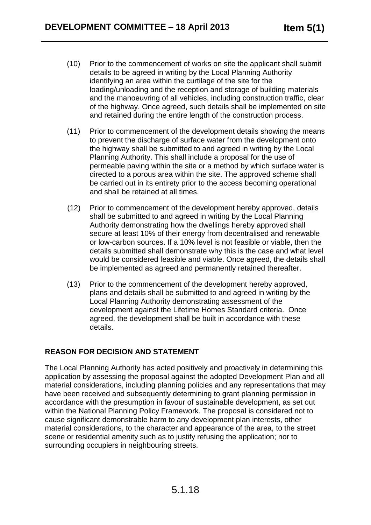- (10) Prior to the commencement of works on site the applicant shall submit details to be agreed in writing by the Local Planning Authority identifying an area within the curtilage of the site for the loading/unloading and the reception and storage of building materials and the manoeuvring of all vehicles, including construction traffic, clear of the highway. Once agreed, such details shall be implemented on site and retained during the entire length of the construction process.
- (11) Prior to commencement of the development details showing the means to prevent the discharge of surface water from the development onto the highway shall be submitted to and agreed in writing by the Local Planning Authority. This shall include a proposal for the use of permeable paving within the site or a method by which surface water is directed to a porous area within the site. The approved scheme shall be carried out in its entirety prior to the access becoming operational and shall be retained at all times.
- (12) Prior to commencement of the development hereby approved, details shall be submitted to and agreed in writing by the Local Planning Authority demonstrating how the dwellings hereby approved shall secure at least 10% of their energy from decentralised and renewable or low-carbon sources. If a 10% level is not feasible or viable, then the details submitted shall demonstrate why this is the case and what level would be considered feasible and viable. Once agreed, the details shall be implemented as agreed and permanently retained thereafter.
- (13) Prior to the commencement of the development hereby approved, plans and details shall be submitted to and agreed in writing by the Local Planning Authority demonstrating assessment of the development against the Lifetime Homes Standard criteria. Once agreed, the development shall be built in accordance with these details.

#### **REASON FOR DECISION AND STATEMENT**

The Local Planning Authority has acted positively and proactively in determining this application by assessing the proposal against the adopted Development Plan and all material considerations, including planning policies and any representations that may have been received and subsequently determining to grant planning permission in accordance with the presumption in favour of sustainable development, as set out within the National Planning Policy Framework. The proposal is considered not to cause significant demonstrable harm to any development plan interests, other material considerations, to the character and appearance of the area, to the street scene or residential amenity such as to justify refusing the application; nor to surrounding occupiers in neighbouring streets.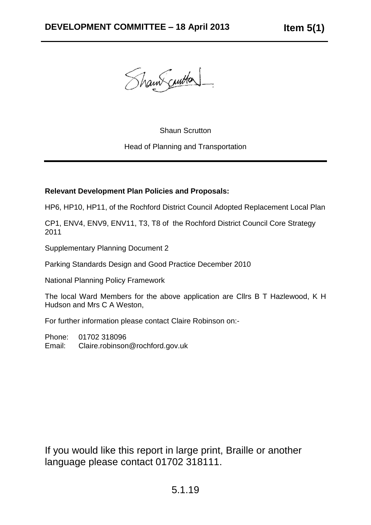Shaw curton

#### Shaun Scrutton

#### Head of Planning and Transportation

#### **Relevant Development Plan Policies and Proposals:**

HP6, HP10, HP11, of the Rochford District Council Adopted Replacement Local Plan

CP1, ENV4, ENV9, ENV11, T3, T8 of the Rochford District Council Core Strategy 2011

Supplementary Planning Document 2

Parking Standards Design and Good Practice December 2010

National Planning Policy Framework

The local Ward Members for the above application are Cllrs B T Hazlewood, K H Hudson and Mrs C A Weston,

For further information please contact Claire Robinson on:-

Phone: 01702 318096 Email: Claire.robinson@rochford.gov.uk

If you would like this report in large print, Braille or another language please contact 01702 318111.

# 5.1.19